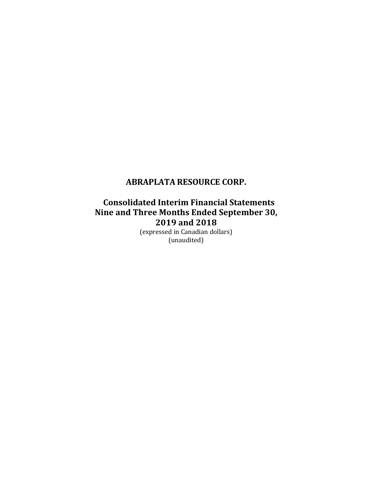**Consolidated Interim Financial Statements Nine and Three Months Ended September 30, 2019 and 2018**

(expressed in Canadian dollars) (unaudited)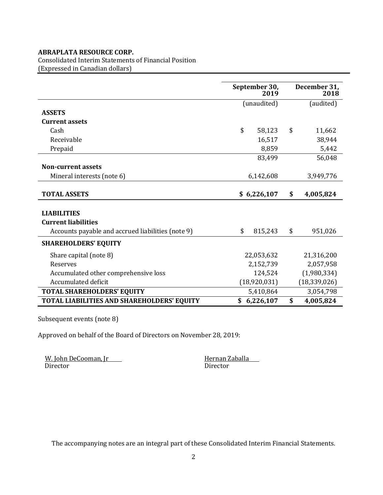Consolidated Interim Statements of Financial Position (Expressed in Canadian dollars)

|                                                   | September 30,<br>2019 |              |    | December 31,<br>2018 |
|---------------------------------------------------|-----------------------|--------------|----|----------------------|
|                                                   |                       | (unaudited)  |    | (audited)            |
| <b>ASSETS</b>                                     |                       |              |    |                      |
| <b>Current assets</b>                             |                       |              |    |                      |
| Cash                                              | \$                    | 58,123       | \$ | 11,662               |
| Receivable                                        |                       | 16,517       |    | 38,944               |
| Prepaid                                           |                       | 8,859        |    | 5,442                |
|                                                   |                       | 83,499       |    | 56,048               |
| <b>Non-current assets</b>                         |                       |              |    |                      |
| Mineral interests (note 6)                        |                       | 6,142,608    |    | 3,949,776            |
|                                                   |                       |              |    |                      |
| <b>TOTAL ASSETS</b>                               |                       | \$6,226,107  | \$ | 4,005,824            |
|                                                   |                       |              |    |                      |
| <b>LIABILITIES</b>                                |                       |              |    |                      |
| <b>Current liabilities</b>                        |                       |              |    |                      |
| Accounts payable and accrued liabilities (note 9) | \$                    | 815,243      | \$ | 951,026              |
| <b>SHAREHOLDERS' EQUITY</b>                       |                       |              |    |                      |
| Share capital (note 8)                            |                       | 22,053,632   |    | 21,316,200           |
| <b>Reserves</b>                                   |                       | 2,152,739    |    | 2,057,958            |
| Accumulated other comprehensive loss              |                       | 124,524      |    | (1,980,334)          |
| Accumulated deficit                               |                       | (18,920,031) |    | (18, 339, 026)       |
| <b>TOTAL SHAREHOLDERS' EQUITY</b>                 |                       | 5,410,864    |    | 3,054,798            |
| <b>TOTAL LIABILITIES AND SHAREHOLDERS' EQUITY</b> | \$                    | 6,226,107    | \$ | 4,005,824            |

Subsequent events (note 8)

Approved on behalf of the Board of Directors on November 28, 2019:

W. John DeCooman, Jr Hernan Zaballa Director Director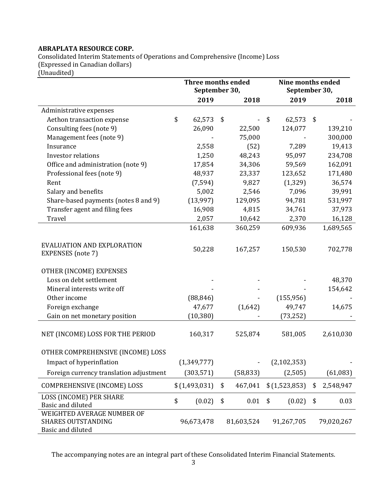Consolidated Interim Statements of Operations and Comprehensive (Income) Loss (Expressed in Canadian dollars)

(Unaudited)

|                                                                              | <b>Three months ended</b><br>September 30, |               |    | Nine months ended<br>September 30, |               |    |            |
|------------------------------------------------------------------------------|--------------------------------------------|---------------|----|------------------------------------|---------------|----|------------|
|                                                                              |                                            | 2019          |    | 2018                               | 2019          |    | 2018       |
| Administrative expenses                                                      |                                            |               |    |                                    |               |    |            |
| Aethon transaction expense                                                   | \$                                         | 62,573        | \$ |                                    | \$<br>62,573  | \$ |            |
| Consulting fees (note 9)                                                     |                                            | 26,090        |    | 22,500                             | 124,077       |    | 139,210    |
| Management fees (note 9)                                                     |                                            |               |    | 75,000                             |               |    | 300,000    |
| Insurance                                                                    |                                            | 2,558         |    | (52)                               | 7,289         |    | 19,413     |
| Investor relations                                                           |                                            | 1,250         |    | 48,243                             | 95,097        |    | 234,708    |
| Office and administration (note 9)                                           |                                            | 17,854        |    | 34,306                             | 59,569        |    | 162,091    |
| Professional fees (note 9)                                                   |                                            | 48,937        |    | 23,337                             | 123,652       |    | 171,480    |
| Rent                                                                         |                                            | (7, 594)      |    | 9,827                              | (1, 329)      |    | 36,574     |
| Salary and benefits                                                          |                                            | 5,002         |    | 2,546                              | 7,096         |    | 39,991     |
| Share-based payments (notes 8 and 9)                                         |                                            | (13,997)      |    | 129,095                            | 94,781        |    | 531,997    |
| Transfer agent and filing fees                                               |                                            | 16,908        |    | 4,815                              | 34,761        |    | 37,973     |
| Travel                                                                       |                                            | 2,057         |    | 10,642                             | 2,370         |    | 16,128     |
|                                                                              |                                            | 161,638       |    | 360,259                            | 609,936       |    | 1,689,565  |
| EVALUATION AND EXPLORATION<br><b>EXPENSES</b> (note 7)                       |                                            | 50,228        |    | 167,257                            | 150,530       |    | 702,778    |
| OTHER (INCOME) EXPENSES                                                      |                                            |               |    |                                    |               |    |            |
| Loss on debt settlement                                                      |                                            |               |    |                                    |               |    | 48,370     |
| Mineral interests write off                                                  |                                            |               |    |                                    |               |    | 154,642    |
| Other income                                                                 |                                            | (88, 846)     |    |                                    | (155, 956)    |    |            |
| Foreign exchange                                                             |                                            | 47,677        |    | (1,642)                            | 49,747        |    | 14,675     |
| Gain on net monetary position                                                |                                            | (10, 380)     |    |                                    | (73, 252)     |    |            |
| NET (INCOME) LOSS FOR THE PERIOD                                             |                                            | 160,317       |    | 525,874                            | 581,005       |    | 2,610,030  |
| OTHER COMPREHENSIVE (INCOME) LOSS                                            |                                            |               |    |                                    |               |    |            |
| Impact of hyperinflation                                                     |                                            | (1,349,777)   |    |                                    | (2, 102, 353) |    |            |
| Foreign currency translation adjustment                                      |                                            | (303, 571)    |    | (58, 833)                          | (2,505)       |    | (61,083)   |
| COMPREHENSIVE (INCOME) LOSS                                                  |                                            | \$(1,493,031) | \$ | 467,041                            | \$(1,523,853) | \$ | 2,548,947  |
| LOSS (INCOME) PER SHARE<br>Basic and diluted                                 | \$                                         | (0.02)        | \$ | 0.01                               | \$<br>(0.02)  | \$ | 0.03       |
| WEIGHTED AVERAGE NUMBER OF<br><b>SHARES OUTSTANDING</b><br>Basic and diluted |                                            | 96,673,478    |    | 81,603,524                         | 91,267,705    |    | 79,020,267 |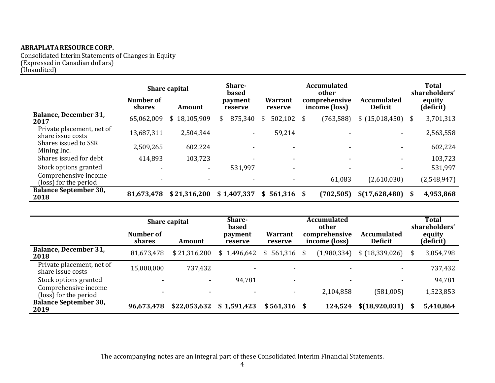Consolidated Interim Statements of Changes in Equity (Expressed in Canadian dollars) (Unaudited)

|                                                | Number of                | <b>Share capital</b>     | Share-<br>based<br>payment |               | <b>Accumulated</b><br>other<br>comprehensive | <b>Accumulated</b>       |    | Total<br>shareholders'<br>equity |
|------------------------------------------------|--------------------------|--------------------------|----------------------------|---------------|----------------------------------------------|--------------------------|----|----------------------------------|
|                                                | shares                   | Amount                   | reserve                    | reserve       | income (loss)                                | <b>Deficit</b>           |    | (deficit)                        |
| <b>Balance, December 31,</b><br>2017           | 65,062,009               | \$18,105,909             | 875,340<br>S               | 502,102<br>S  | (763, 588)<br>- \$                           | \$(15,018,450)           | \$ | 3,701,313                        |
| Private placement, net of<br>share issue costs | 13,687,311               | 2,504,344                |                            | 59,214        |                                              | $\overline{\phantom{a}}$ |    | 2,563,558                        |
| Shares issued to SSR<br>Mining Inc.            | 2,509,265                | 602,224                  |                            |               |                                              |                          |    | 602,224                          |
| Shares issued for debt                         | 414,893                  | 103,723                  |                            |               |                                              | $\overline{\phantom{a}}$ |    | 103,723                          |
| Stock options granted                          | $\overline{\phantom{0}}$ | $\overline{\phantom{a}}$ | 531,997                    | ٠             |                                              |                          |    | 531,997                          |
| Comprehensive income<br>(loss) for the period  |                          | $\overline{\phantom{0}}$ |                            |               | 61,083                                       | (2,610,030)              |    | (2,548,947)                      |
| <b>Balance September 30,</b><br>2018           | 81,673,478               | \$21,316,200             | \$1,407,337                | $$561,316$ \$ | (702, 505)                                   | \$(17,628,480)           | S  | 4,953,868                        |

|                                                | <b>Share capital</b> | Share-<br>based          |                    |                          |                                         | <b>Total</b><br>shareholders'        |  |                     |
|------------------------------------------------|----------------------|--------------------------|--------------------|--------------------------|-----------------------------------------|--------------------------------------|--|---------------------|
|                                                | Number of<br>shares  | Amount                   | payment<br>reserve | Warrant<br>reserve       | other<br>comprehensive<br>income (loss) | <b>Accumulated</b><br><b>Deficit</b> |  | equity<br>(deficit) |
| <b>Balance, December 31,</b><br>2018           | 81,673,478           | \$21,316,200             | \$1,496,642        | $$561,316$ \$            | (1,980,334)                             | $$ (18,339,026)$ \$                  |  | 3,054,798           |
| Private placement, net of<br>share issue costs | 15,000,000           | 737,432                  |                    | $\overline{\phantom{0}}$ |                                         |                                      |  | 737,432             |
| Stock options granted                          |                      | ۰.                       | 94,781             | $\overline{\phantom{0}}$ | -                                       |                                      |  | 94,781              |
| Comprehensive income<br>(loss) for the period  |                      | $\overline{\phantom{0}}$ | $\sim$             | ۰                        | 2,104,858                               | (581,005)                            |  | 1,523,853           |
| <b>Balance September 30,</b><br>2019           | 96,673,478           | \$22,053,632             | \$1,591,423        | $$561,316$ \$            | 124,524                                 | $$(18,920,031)$ \$                   |  | 5,410,864           |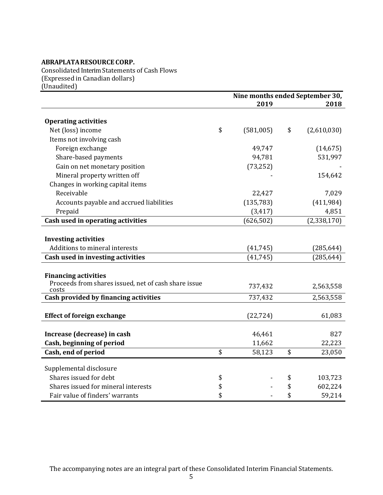Consolidated Interim Statements of Cash Flows (Expressed in Canadian dollars) (Unaudited)

|                                                                                              | Nine months ended September 30, |    |             |  |  |
|----------------------------------------------------------------------------------------------|---------------------------------|----|-------------|--|--|
|                                                                                              | 2019                            |    | 2018        |  |  |
| <b>Operating activities</b>                                                                  |                                 |    |             |  |  |
| Net (loss) income                                                                            | \$<br>(581,005)                 | \$ | (2,610,030) |  |  |
| Items not involving cash                                                                     |                                 |    |             |  |  |
| Foreign exchange                                                                             | 49,747                          |    | (14, 675)   |  |  |
| Share-based payments                                                                         | 94,781                          |    | 531,997     |  |  |
| Gain on net monetary position                                                                | (73, 252)                       |    |             |  |  |
| Mineral property written off                                                                 |                                 |    | 154,642     |  |  |
| Changes in working capital items                                                             |                                 |    |             |  |  |
| Receivable                                                                                   | 22,427                          |    | 7,029       |  |  |
| Accounts payable and accrued liabilities                                                     | (135, 783)                      |    | (411, 984)  |  |  |
| Prepaid                                                                                      | (3, 417)                        |    | 4,851       |  |  |
| Cash used in operating activities                                                            | (626, 502)                      |    | (2,338,170) |  |  |
| <b>Investing activities</b><br>Additions to mineral interests                                | (41, 745)                       |    | (285, 644)  |  |  |
|                                                                                              |                                 |    |             |  |  |
| Cash used in investing activities                                                            | (41, 745)                       |    | (285, 644)  |  |  |
| <b>Financing activities</b><br>Proceeds from shares issued, net of cash share issue<br>costs | 737,432                         |    | 2,563,558   |  |  |
| Cash provided by financing activities                                                        | 737,432                         |    | 2,563,558   |  |  |
| <b>Effect of foreign exchange</b>                                                            | (22, 724)                       |    | 61,083      |  |  |
| Increase (decrease) in cash                                                                  | 46,461                          |    | 827         |  |  |
| Cash, beginning of period                                                                    | 11,662                          |    | 22,223      |  |  |
| Cash, end of period                                                                          | \$<br>58,123                    | \$ | 23,050      |  |  |
| Supplemental disclosure                                                                      |                                 |    |             |  |  |
| Shares issued for debt                                                                       | \$                              | \$ | 103,723     |  |  |
| Shares issued for mineral interests                                                          | \$                              | \$ | 602,224     |  |  |
| Fair value of finders' warrants                                                              | \$                              | \$ | 59,214      |  |  |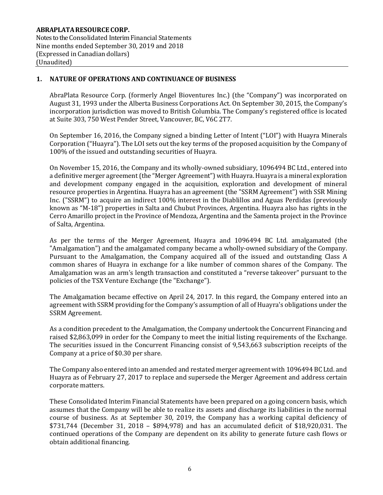## **1. NATURE OF OPERATIONS AND CONTINUANCE OF BUSINESS**

AbraPlata Resource Corp. (formerly Angel Bioventures Inc.) (the "Company") was incorporated on August 31, 1993 under the Alberta Business Corporations Act. On September 30, 2015, the Company's incorporation jurisdiction was moved to British Columbia. The Company's registered office is located at Suite 303, 750 West Pender Street, Vancouver, BC, V6C 2T7.

On September 16, 2016, the Company signed a binding Letter of Intent ("LOI") with Huayra Minerals Corporation ("Huayra"). The LOI sets out the key terms of the proposed acquisition by the Company of 100% of the issued and outstanding securities of Huayra.

On November 15, 2016, the Company and its wholly-owned subsidiary, 1096494 BC Ltd., entered into a definitive merger agreement (the "Merger Agreement") with Huayra. Huayra is a mineral exploration and development company engaged in the acquisition, exploration and development of mineral resource properties in Argentina. Huayra has an agreement (the "SSRM Agreement") with SSR Mining Inc. ("SSRM") to acquire an indirect 100% interest in the Diablillos and Aguas Perdidas (previously known as "M-18") properties in Salta and Chubut Provinces, Argentina. Huayra also has rights in the Cerro Amarillo project in the Province of Mendoza, Argentina and the Samenta project in the Province of Salta, Argentina.

As per the terms of the Merger Agreement, Huayra and 1096494 BC Ltd. amalgamated (the "Amalgamation") and the amalgamated company became a wholly-owned subsidiary of the Company. Pursuant to the Amalgamation, the Company acquired all of the issued and outstanding Class A common shares of Huayra in exchange for a like number of common shares of the Company. The Amalgamation was an arm's length transaction and constituted a "reverse takeover" pursuant to the policies of the TSX Venture Exchange (the "Exchange").

The Amalgamation became effective on April 24, 2017. In this regard, the Company entered into an agreement with SSRM providing for the Company's assumption of all of Huayra's obligations under the SSRM Agreement.

As a condition precedent to the Amalgamation, the Company undertook the Concurrent Financing and raised \$2,863,099 in order for the Company to meet the initial listing requirements of the Exchange. The securities issued in the Concurrent Financing consist of 9,543,663 subscription receipts of the Company at a price of \$0.30 per share.

The Company also entered into an amended and restated merger agreement with 1096494 BC Ltd. and Huayra as of February 27, 2017 to replace and supersede the Merger Agreement and address certain corporate matters.

These Consolidated Interim Financial Statements have been prepared on a going concern basis, which assumes that the Company will be able to realize its assets and discharge its liabilities in the normal course of business. As at September 30, 2019, the Company has a working capital deficiency of \$731,744 (December 31, 2018 – \$894,978) and has an accumulated deficit of \$18,920,031. The continued operations of the Company are dependent on its ability to generate future cash flows or obtain additional financing.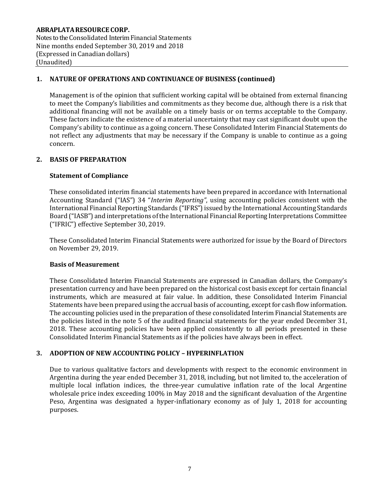**ABRAPLATARESOURCE CORP.** Notes to the Consolidated Interim Financial Statements Nine months ended September 30, 2019 and 2018 (Expressed in Canadian dollars) (Unaudited)

## **1. NATURE OF OPERATIONS AND CONTINUANCE OF BUSINESS (continued)**

Management is of the opinion that sufficient working capital will be obtained from external financing to meet the Company's liabilities and commitments as they become due, although there is a risk that additional financing will not be available on a timely basis or on terms acceptable to the Company. These factors indicate the existence of a material uncertainty that may cast significant doubt upon the Company's ability to continue as a going concern. These Consolidated Interim Financial Statements do not reflect any adjustments that may be necessary if the Company is unable to continue as a going concern.

# **2. BASIS OF PREPARATION**

## **Statement of Compliance**

These consolidated interim financial statements have been prepared in accordance with International Accounting Standard ("IAS") 34 "*Interim Reporting"*, using accounting policies consistent with the International Financial Reporting Standards ("IFRS") issued by the International Accounting Standards Board ("IASB") and interpretations of the International Financial Reporting Interpretations Committee ("IFRIC") effective September 30, 2019.

These Consolidated Interim Financial Statements were authorized for issue by the Board of Directors on November 29, 2019.

#### **Basis of Measurement**

These Consolidated Interim Financial Statements are expressed in Canadian dollars, the Company's presentation currency and have been prepared on the historical cost basis except for certain financial instruments, which are measured at fair value. In addition, these Consolidated Interim Financial Statements have been prepared using the accrual basis of accounting, except for cash flow information. The accounting policies used in the preparation of these consolidated Interim Financial Statements are the policies listed in the note 5 of the audited financial statements for the year ended December 31, 2018. These accounting policies have been applied consistently to all periods presented in these Consolidated Interim Financial Statements as if the policies have always been in effect.

## **3. ADOPTION OF NEW ACCOUNTING POLICY – HYPERINFLATION**

Due to various qualitative factors and developments with respect to the economic environment in Argentina during the year ended December 31, 2018, including, but not limited to, the acceleration of multiple local inflation indices, the three-year cumulative inflation rate of the local Argentine wholesale price index exceeding 100% in May 2018 and the significant devaluation of the Argentine Peso, Argentina was designated a hyper-inflationary economy as of July 1, 2018 for accounting purposes.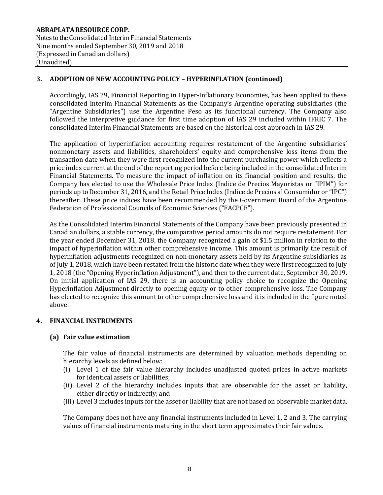# **3. ADOPTION OF NEW ACCOUNTING POLICY – HYPERINFLATION (continued)**

Accordingly, IAS 29, Financial Reporting in Hyper-Inflationary Economies, has been applied to these consolidated Interim Financial Statements as the Company's Argentine operating subsidiaries (the "Argentine Subsidiaries") use the Argentine Peso as its functional currency. The Company also followed the interpretive guidance for first time adoption of IAS 29 included within IFRIC 7. The consolidated Interim Financial Statements are based on the historical cost approach in IAS 29.

The application of hyperinflation accounting requires restatement of the Argentine subsidiaries' nonmonetary assets and liabilities, shareholders' equity and comprehensive loss items from the transaction date when they were first recognized into the current purchasing power which reflects a price index current at the end of the reporting period before being included in the consolidated Interim Financial Statements. To measure the impact of inflation on its financial position and results, the Company has elected to use the Wholesale Price Index (Indice de Precios Mayoristas or "IPIM") for periods up to December 31, 2016, and the Retail Price Index (Indice de Precios al Consumidor or "IPC") thereafter. These price indices have been recommended by the Government Board of the Argentine Federation of Professional Councils of Economic Sciences ("FACPCE").

As the Consolidated Interim Financial Statements of the Company have been previously presented in Canadian dollars, a stable currency, the comparative period amounts do not require restatement. For the year ended December 31, 2018, the Company recognized a gain of \$1.5 million in relation to the impact of hyperinflation within other comprehensive income. This amount is primarily the result of hyperinflation adjustments recognized on non-monetary assets held by its Argentine subsidiaries as of July 1, 2018, which have been restated from the historic date when they were first recognized to July 1, 2018 (the "Opening Hyperinflation Adjustment"), and then to the current date, September 30, 2019. On initial application of IAS 29, there is an accounting policy choice to recognize the Opening Hyperinflation Adjustment directly to opening equity or to other comprehensive loss. The Company has elected to recognize this amount to other comprehensive loss and it is included in the figure noted above.

## **4. FINANCIAL INSTRUMENTS**

#### **(a) Fair value estimation**

The fair value of financial instruments are determined by valuation methods depending on hierarchy levels as defined below:

- (i) Level 1 of the fair value hierarchy includes unadjusted quoted prices in active markets for identical assets or liabilities;
- (ii) Level 2 of the hierarchy includes inputs that are observable for the asset or liability, either directly or indirectly; and
- (iii) Level 3 includes inputs for the asset or liability that are not based on observable market data.

The Company does not have any financial instruments included in Level 1, 2 and 3. The carrying values of financial instruments maturing in the short term approximates their fair values.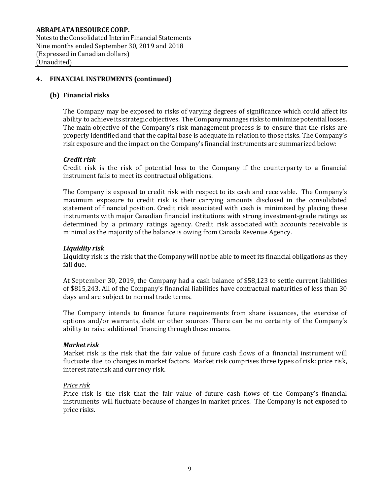Notes to the Consolidated Interim Financial Statements Nine months ended September 30, 2019 and 2018 (Expressed in Canadian dollars) (Unaudited)

## **4. FINANCIAL INSTRUMENTS (continued)**

## **(b) Financial risks**

The Company may be exposed to risks of varying degrees of significance which could affect its ability to achieve its strategic objectives. The Company manages risks to minimize potential losses. The main objective of the Company's risk management process is to ensure that the risks are properly identified and that the capital base is adequate in relation to those risks. The Company's risk exposure and the impact on the Company's financial instruments are summarized below:

#### *Credit risk*

Credit risk is the risk of potential loss to the Company if the counterparty to a financial instrument fails to meet its contractual obligations.

The Company is exposed to credit risk with respect to its cash and receivable. The Company's maximum exposure to credit risk is their carrying amounts disclosed in the consolidated statement of financial position. Credit risk associated with cash is minimized by placing these instruments with major Canadian financial institutions with strong investment-grade ratings as determined by a primary ratings agency. Credit risk associated with accounts receivable is minimal as the majority of the balance is owing from Canada Revenue Agency.

#### *Liquidity risk*

Liquidity risk is the risk that the Company will not be able to meet its financial obligations as they fall due.

At September 30, 2019, the Company had a cash balance of \$58,123 to settle current liabilities of \$815,243. All of the Company's financial liabilities have contractual maturities of less than 30 days and are subject to normal trade terms.

The Company intends to finance future requirements from share issuances, the exercise of options and/or warrants, debt or other sources. There can be no certainty of the Company's ability to raise additional financing through these means.

#### *Market risk*

Market risk is the risk that the fair value of future cash flows of a financial instrument will fluctuate due to changes in market factors. Market risk comprises three types of risk: price risk, interest rate risk and currency risk.

#### *Price risk*

Price risk is the risk that the fair value of future cash flows of the Company's financial instruments will fluctuate because of changes in market prices. The Company is not exposed to price risks.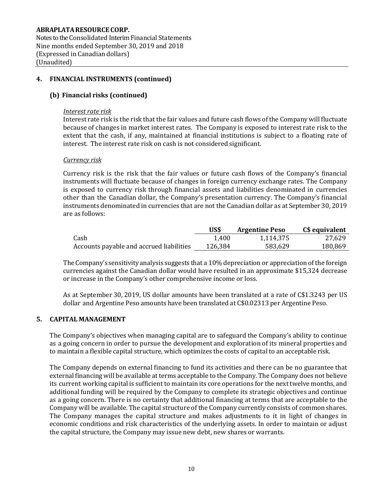Notes to the Consolidated Interim Financial Statements Nine months ended September 30, 2019 and 2018 (Expressed in Canadian dollars) (Unaudited)

#### **4. FINANCIAL INSTRUMENTS (continued)**

#### **(b) Financial risks (continued)**

#### *Interest rate risk*

Interest rate risk is the risk that the fair values and future cash flows of the Company will fluctuate because of changes in market interest rates. The Company is exposed to interest rate risk to the extent that the cash, if any, maintained at financial institutions is subject to a floating rate of interest. The interest rate risk on cash is not considered significant.

#### *Currency risk*

Currency risk is the risk that the fair values or future cash flows of the Company's financial instruments will fluctuate because of changes in foreign currency exchange rates. The Company is exposed to currency risk through financial assets and liabilities denominated in currencies other than the Canadian dollar, the Company's presentation currency. The Company's financial instruments denominated in currencies that are not the Canadian dollar as at September 30, 2019 are as follows:

|                                          | US\$    | <b>Argentine Peso</b> | C\$ equivalent |
|------------------------------------------|---------|-----------------------|----------------|
| Cash                                     | 1.400   | 1.114.375             | 27,629         |
| Accounts payable and accrued liabilities | 126,384 | 583,629               | 180,869        |

TheCompany's sensitivityanalysis suggests that a 10% depreciation or appreciation of the foreign currencies against the Canadian dollar would have resulted in an approximate \$15,324 decrease or increase in the Company's other comprehensive income or loss.

As at September 30, 2019, US dollar amounts have been translated at a rate of C\$1.3243 per US dollar and Argentine Peso amounts have been translated at C\$0.02313 per Argentine Peso.

#### **5. CAPITAL MANAGEMENT**

The Company's objectives when managing capital are to safeguard the Company's ability to continue as a going concern in order to pursue the development and exploration of its mineral properties and to maintain a flexible capital structure, which optimizes the costs of capital to an acceptable risk.

The Company depends on external financing to fund its activities and there can be no guarantee that external financing will be available at terms acceptable to the Company. The Company does not believe its current working capital is sufficient to maintain its core operations for the next twelve months, and additional funding will be required by the Company to complete its strategic objectives and continue as a going concern. There is no certainty that additional financing at terms that are acceptable to the Company will be available. The capital structure of the Company currently consists of common shares. The Company manages the capital structure and makes adjustments to it in light of changes in economic conditions and risk characteristics of the underlying assets. In order to maintain or adjust the capital structure, the Company may issue new debt, new shares or warrants.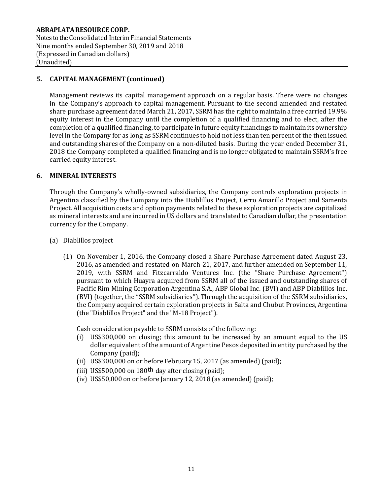**ABRAPLATARESOURCE CORP.** Notes to the Consolidated Interim Financial Statements Nine months ended September 30, 2019 and 2018 (Expressed in Canadian dollars) (Unaudited)

# **5. CAPITAL MANAGEMENT(continued)**

Management reviews its capital management approach on a regular basis. There were no changes in the Company's approach to capital management. Pursuant to the second amended and restated share purchase agreement dated March 21, 2017, SSRM has the right to maintain a free carried 19.9% equity interest in the Company until the completion of a qualified financing and to elect, after the completion of a qualified financing, to participate in future equity financings to maintain its ownership level in the Company for as long as SSRM continues to hold not less than ten percent of the then issued and outstanding shares of the Company on a non-diluted basis. During the year ended December 31, 2018 the Company completed a qualified financing and is no longer obligated to maintain SSRM's free carried equity interest.

#### **6. MINERAL INTERESTS**

Through the Company's wholly-owned subsidiaries, the Company controls exploration projects in Argentina classified by the Company into the Diablillos Project, Cerro Amarillo Project and Samenta Project. All acquisition costs and option payments related to these exploration projects are capitalized as mineral interests and are incurred in US dollars and translated to Canadian dollar, the presentation currency for the Company.

- (a) Diablillos project
	- (1) On November 1, 2016, the Company closed a Share Purchase Agreement dated August 23, 2016, as amended and restated on March 21, 2017, and further amended on September 11, 2019, with SSRM and Fitzcarraldo Ventures Inc. (the "Share Purchase Agreement") pursuant to which Huayra acquired from SSRM all of the issued and outstanding shares of Pacific Rim Mining Corporation Argentina S.A., ABP Global Inc. (BVI) and ABP Diablillos Inc. (BVI) (together, the "SSRM subsidiaries"). Through the acquisition of the SSRM subsidiaries, the Company acquired certain exploration projects in Salta and Chubut Provinces, Argentina (the "Diablillos Project" and the "M-18 Project").

Cash consideration payable to SSRM consists of the following:

- (i) US\$300,000 on closing; this amount to be increased by an amount equal to the US dollar equivalent of the amount of Argentine Pesos deposited in entity purchased by the Company (paid);
- (ii) US\$300,000 on or before February 15, 2017 (as amended)(paid);
- (iii) US\$500,000 on 180<sup>th</sup> day after closing (paid);
- (iv) US\$50,000 on or before January 12, 2018 (as amended) (paid);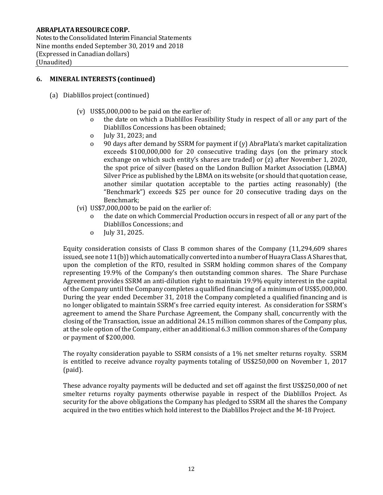Notes to the Consolidated Interim Financial Statements Nine months ended September 30, 2019 and 2018 (Expressed in Canadian dollars) (Unaudited)

## **6. MINERAL INTERESTS (continued)**

- (a) Diablillos project(continued)
	- (v) US\$5,000,000 to be paid on the earlier of:
		- o the date on which a Diablillos Feasibility Study in respect of all or any part of the Diablillos Concessions has been obtained;
		- o July 31, 2023; and
		- o 90 days after demand by SSRM for payment if (y) AbraPlata's market capitalization exceeds \$100,000,000 for 20 consecutive trading days (on the primary stock exchange on which such entity's shares are traded) or (z) after November 1, 2020, the spot price of silver (based on the London Bullion Market Association (LBMA) Silver Price as published by the LBMA on its website (or should that quotation cease, another similar quotation acceptable to the parties acting reasonably) (the "Benchmark") exceeds \$25 per ounce for 20 consecutive trading days on the Benchmark;
	- (vi) US\$7,000,000 to be paid on the earlier of:
		- the date on which Commercial Production occurs in respect of all or any part of the Diablillos Concessions; and
		- o July 31, 2025.

Equity consideration consists of Class B common shares of the Company (11,294,609 shares issued, see note  $11(b)$ ) which automatically converted into a number of Huayra Class A Shares that, upon the completion of the RTO, resulted in SSRM holding common shares of the Company representing 19.9% of the Company's then outstanding common shares. The Share Purchase Agreement provides SSRM an anti-dilution right to maintain 19.9% equity interest in the capital of the Company until the Company completes a qualified financing of a minimum of US\$5,000,000. During the year ended December 31, 2018 the Company completed a qualified financing and is no longer obligated to maintain SSRM's free carried equity interest. As consideration for SSRM's agreement to amend the Share Purchase Agreement, the Company shall, concurrently with the closing of the Transaction, issue an additional 24.15 million common shares of the Company plus, at the sole option of the Company, either an additional 6.3 million common shares of the Company or payment of \$200,000.

The royalty consideration payable to SSRM consists of a 1% net smelter returns royalty. SSRM is entitled to receive advance royalty payments totaling of US\$250,000 on November 1, 2017 (paid).

These advance royalty payments will be deducted and set off against the first US\$250,000 of net smelter returns royalty payments otherwise payable in respect of the Diablillos Project. As security for the above obligations the Company has pledged to SSRM all the shares the Company acquired in the two entities which hold interest to the Diablillos Project and the M-18 Project.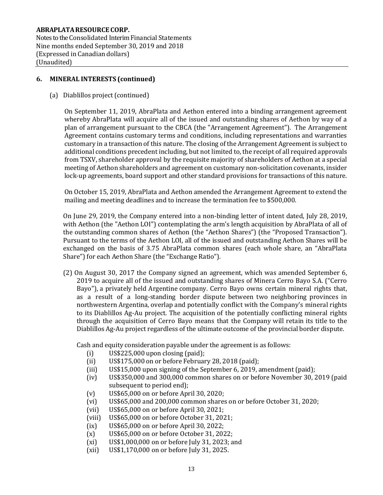Notes to the Consolidated Interim Financial Statements Nine months ended September 30, 2019 and 2018 (Expressed in Canadian dollars) (Unaudited)

#### **6. MINERAL INTERESTS (continued)**

(a) Diablillos project(continued)

On September 11, 2019, AbraPlata and Aethon entered into a binding arrangement agreement whereby AbraPlata will acquire all of the issued and outstanding shares of Aethon by way of a plan of arrangement pursuant to the CBCA (the "Arrangement Agreement"). The Arrangement Agreement contains customary terms and conditions, including representations and warranties customary in a transaction of this nature. The closing of the Arrangement Agreement is subject to additional conditions precedent including, but not limited to, the receipt of all required approvals from TSXV, shareholder approval by the requisite majority of shareholders of Aethon at a special meeting of Aethon shareholders and agreement on customary non-solicitation covenants, insider lock-up agreements, board support and other standard provisions for transactions of this nature.

On October 15, 2019, AbraPlata and Aethon amended the Arrangement Agreement to extend the mailing and meeting deadlines and to increase the termination fee to \$500,000.

On June 29, 2019, the Company entered into a non-binding letter of intent dated, July 28, 2019, with Aethon (the "Aethon LOI") contemplating the arm's length acquisition by AbraPlata of all of the outstanding common shares of Aethon (the "Aethon Shares") (the "Proposed Transaction"). Pursuant to the terms of the Aethon LOI, all of the issued and outstanding Aethon Shares will be exchanged on the basis of 3.75 AbraPlata common shares (each whole share, an "AbraPlata Share") for each Aethon Share (the "Exchange Ratio").

(2) On August 30, 2017 the Company signed an agreement, which was amended September 6, 2019 to acquire all of the issued and outstanding shares of Minera Cerro Bayo S.A. ("Cerro Bayo"), a privately held Argentine company. Cerro Bayo owns certain mineral rights that, as a result of a long-standing border dispute between two neighboring provinces in northwestern Argentina, overlap and potentially conflict with the Company's mineral rights to its Diablillos Ag-Au project. The acquisition of the potentially conflicting mineral rights through the acquisition of Cerro Bayo means that the Company will retain its title to the Diablillos Ag-Au project regardless of the ultimate outcome of the provincial border dispute.

Cash and equity consideration payable under the agreement is as follows:

- (i) US\$225,000 upon closing (paid);
- (ii) US\$175,000 on or before February 28, 2018 (paid);
- (iii) US\$15,000 upon signing of the September 6, 2019, amendment (paid);
- (iv) US\$350,000 and 300,000 common shares on or before November 30, 2019 (paid subsequent to period end);
- (v) US\$65,000 on or before April 30, 2020;
- (vi) US\$65,000 and 200,000 common shares on or before October 31, 2020;
- (vii) US\$65,000 on or before April 30, 2021;
- (viii) US\$65,000 on or before October 31, 2021;
- (ix) US\$65,000 on or before April 30, 2022;
- (x) US\$65,000 on or before October 31, 2022;
- (xi) US\$1,000,000 on or before July 31, 2023; and
- (xii) US\$1,170,000 on or before July 31, 2025.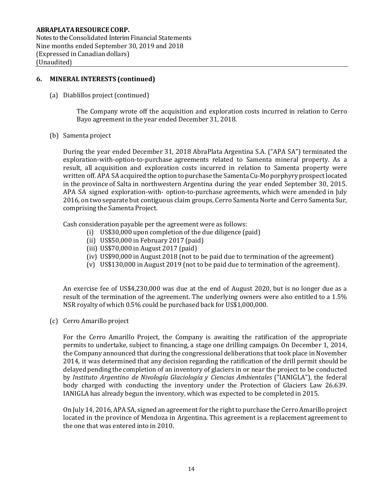Notes to the Consolidated Interim Financial Statements Nine months ended September 30, 2019 and 2018 (Expressed in Canadian dollars) (Unaudited)

#### **6. MINERAL INTERESTS (continued)**

(a) Diablillos project(continued)

The Company wrote off the acquisition and exploration costs incurred in relation to Cerro Bayo agreement in the year ended December 31, 2018.

(b) Samenta project

During the year ended December 31, 2018 AbraPlata Argentina S.A. ("APA SA") terminated the exploration-with-option-to-purchase agreements related to Samenta mineral property. As a result, all acquisition and exploration costs incurred in relation to Samenta property were written off. APA SA acquired the option to purchase the Samenta Cu-Mo porphyry prospect located in the province of Salta in northwestern Argentina during the year ended September 30, 2015. APA SA signed exploration-with- option-to-purchase agreements, which were amended in July 2016, on two separate but contiguous claim groups, Cerro Samenta Norte and Cerro Samenta Sur, comprising the Samenta Project.

Cash consideration payable per the agreement were as follows:

- (i) US\$30,000 upon completion of the due diligence (paid)
- (ii) US\$50,000 in February 2017 (paid)
- (iii) US\$70,000 in August 2017 (paid)
- (iv) US\$90,000 in August 2018 (not to be paid due to termination of the agreement)
- (v) US\$130,000 in August 2019 (not to be paid due to termination of the agreement).

An exercise fee of US\$4,230,000 was due at the end of August 2020, but is no longer due as a result of the termination of the agreement. The underlying owners were also entitled to a 1.5% NSR royalty of which 0.5% could be purchased back for US\$1,000,000.

(c) Cerro Amarillo project

For the Cerro Amarillo Project, the Company is awaiting the ratification of the appropriate permits to undertake, subject to financing, a stage one drilling campaign. On December 1, 2014, the Company announced that during the congressional deliberations that took place in November 2014, it was determined that any decision regarding the ratification of the drill permit should be delayed pending the completion of an inventory of glaciers in or near the project to be conducted by *Instituto Argentino de Nivología Glaciología y Ciencias Ambientales* ("IANIGLA"), the federal body charged with conducting the inventory under the Protection of Glaciers Law 26.639. IANIGLA has already begun the inventory, which was expected to be completed in 2015.

On July 14, 2016, APA SA, signed an agreement for the right to purchase the Cerro Amarillo project located in the province of Mendoza in Argentina. This agreement is a replacement agreement to the one that was entered into in 2010.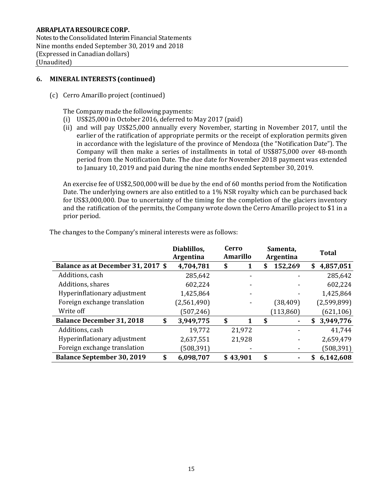Notes to the Consolidated Interim Financial Statements Nine months ended September 30, 2019 and 2018 (Expressed in Canadian dollars) (Unaudited)

## **6. MINERAL INTERESTS (continued)**

(c) Cerro Amarillo project (continued)

The Company made the following payments:

- (i) US\$25,000 in October 2016, deferred to May 2017 (paid)
- (ii) and will pay US\$25,000 annually every November, starting in November 2017, until the earlier of the ratification of appropriate permits or the receipt of exploration permits given in accordance with the legislature of the province of Mendoza (the "Notification Date"). The Company will then make a series of installments in total of US\$875,000 over 48-month period from the Notification Date. The due date for November 2018 payment was extended to January 10, 2019 and paid during the nine months ended September 30, 2019.

An exercise fee of US\$2,500,000 will be due by the end of 60 months period from the Notification Date. The underlying owners are also entitled to a 1% NSR royalty which can be purchased back for US\$3,000,000. Due to uncertainty of the timing for the completion of the glaciers inventory and the ratification of the permits, the Company wrote down the Cerro Amarillo project to \$1 in a prior period.

|                                    | Diablillos,<br><b>Argentina</b> | Cerro<br><b>Amarillo</b> |  | Samenta,<br>Argentina |    |            | <b>Total</b> |             |
|------------------------------------|---------------------------------|--------------------------|--|-----------------------|----|------------|--------------|-------------|
| Balance as at December 31, 2017 \$ | 4,704,781                       | \$                       |  |                       |    | 152,269    | S            | 4,857,051   |
| Additions, cash                    | 285,642                         |                          |  |                       |    |            |              | 285,642     |
| Additions, shares                  | 602,224                         |                          |  |                       |    |            |              | 602,224     |
| Hyperinflationary adjustment       | 1,425,864                       |                          |  |                       |    |            |              | 1,425,864   |
| Foreign exchange translation       | (2,561,490)                     |                          |  |                       |    | (38, 409)  |              | (2,599,899) |
| Write off                          | (507, 246)                      |                          |  |                       |    | (113, 860) |              | (621, 106)  |
| <b>Balance December 31, 2018</b>   | \$<br>3,949,775                 | \$                       |  | 1                     | S  |            | \$           | 3,949,776   |
| Additions, cash                    | 19,772                          |                          |  | 21,972                |    |            |              | 41,744      |
| Hyperinflationary adjustment       | 2,637,551                       |                          |  | 21,928                |    |            |              | 2,659,479   |
| Foreign exchange translation       | (508, 391)                      |                          |  |                       |    |            |              | (508, 391)  |
| <b>Balance September 30, 2019</b>  | \$<br>6,098,707                 |                          |  | \$43,901              | \$ | ۰          | \$           | 6,142,608   |

The changes to the Company's mineral interests were as follows: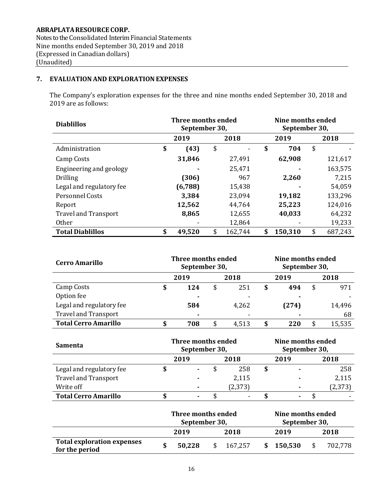**ABRAPLATARESOURCE CORP.** Notes to the Consolidated Interim Financial Statements Nine months ended September 30, 2019 and 2018 (Expressed in Canadian dollars) (Unaudited)

## **7. EVALUATIONAND EXPLORATION EXPENSES**

The Company's exploration expenses for the three and nine months ended September 30, 2018 and 2019 are as follows:

| <b>Diablillos</b>           | Three months ended<br>September 30, |    | Nine months ended<br>September 30, |    |         |    |         |  |
|-----------------------------|-------------------------------------|----|------------------------------------|----|---------|----|---------|--|
|                             | 2019                                |    | 2018                               |    | 2019    |    | 2018    |  |
| Administration              | \$<br>(43)                          | \$ |                                    | \$ | 704     | \$ |         |  |
| Camp Costs                  | 31,846                              |    | 27,491                             |    | 62,908  |    | 121,617 |  |
| Engineering and geology     |                                     |    | 25,471                             |    |         |    | 163,575 |  |
| <b>Drilling</b>             | (306)                               |    | 967                                |    | 2,260   |    | 7,215   |  |
| Legal and regulatory fee    | (6,788)                             |    | 15,438                             |    |         |    | 54,059  |  |
| Personnel Costs             | 3,384                               |    | 23,094                             |    | 19,182  |    | 133,296 |  |
| Report                      | 12,562                              |    | 44,764                             |    | 25,223  |    | 124,016 |  |
| <b>Travel and Transport</b> | 8,865                               |    | 12,655                             |    | 40,033  |    | 64,232  |  |
| <b>Other</b>                |                                     |    | 12,864                             |    |         |    | 19,233  |  |
| <b>Total Diablillos</b>     | \$<br>49,520                        | \$ | 162,744                            | \$ | 150,310 | \$ | 687,243 |  |

| <b>Cerro Amarillo</b>       | Three months ended<br>September 30, |      |    |                          |  |       | Nine months ended<br>September 30, |        |  |
|-----------------------------|-------------------------------------|------|----|--------------------------|--|-------|------------------------------------|--------|--|
|                             |                                     | 2019 |    | 2018                     |  | 2019  |                                    | 2018   |  |
| Camp Costs                  | \$                                  | 124  | \$ | 251                      |  | 494   |                                    | 971    |  |
| Option fee                  |                                     |      |    |                          |  |       |                                    |        |  |
| Legal and regulatory fee    |                                     | 584  |    | 4,262                    |  | (274) |                                    | 14,496 |  |
| <b>Travel and Transport</b> |                                     | ۰    |    | $\overline{\phantom{a}}$ |  |       |                                    | 68     |  |
| <b>Total Cerro Amarillo</b> | \$                                  | 708  | \$ | 4,513                    |  | 220   |                                    | 15,535 |  |

| Samenta                     | Three months ended<br>September 30, |                |  |          |  | Nine months ended<br>September 30, |  |          |  |
|-----------------------------|-------------------------------------|----------------|--|----------|--|------------------------------------|--|----------|--|
|                             |                                     | 2019           |  | 2018     |  | 2019                               |  | 2018     |  |
| Legal and regulatory fee    |                                     | ۰              |  | 258      |  |                                    |  | 258      |  |
| <b>Travel and Transport</b> |                                     |                |  | 2,115    |  |                                    |  | 2,115    |  |
| Write off                   |                                     | $\blacksquare$ |  | (2, 373) |  |                                    |  | (2, 373) |  |
| <b>Total Cerro Amarillo</b> |                                     | ۰              |  |          |  |                                    |  |          |  |

|                                                     | Three months ended<br>September 30, |        |    |         |  | Nine months ended<br>September 30, |      |         |
|-----------------------------------------------------|-------------------------------------|--------|----|---------|--|------------------------------------|------|---------|
|                                                     |                                     | 2019   |    | 2018    |  | 2019                               |      | 2018    |
| <b>Total exploration expenses</b><br>for the period |                                     | 50,228 | S. | 167.257 |  | \$150,530                          | - \$ | 702,778 |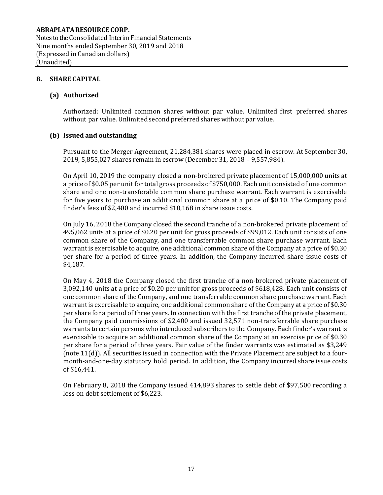Notes to the Consolidated Interim Financial Statements Nine months ended September 30, 2019 and 2018 (Expressed in Canadian dollars) (Unaudited)

#### **8. SHARE CAPITAL**

#### **(a) Authorized**

Authorized: Unlimited common shares without par value. Unlimited first preferred shares without par value. Unlimited second preferred shares without par value.

#### **(b) Issued and outstanding**

Pursuant to the Merger Agreement, 21,284,381 shares were placed in escrow. At September 30, 2019, 5,855,027 shares remain in escrow (December 31, 2018 – 9,557,984).

On April 10, 2019 the company closed a non-brokered private placement of 15,000,000 units at a price of \$0.05 per unit for total gross proceeds of \$750,000. Each unit consisted of one common share and one non-transferable common share purchase warrant. Each warrant is exercisable for five years to purchase an additional common share at a price of \$0.10. The Company paid finder's fees of \$2,400 and incurred \$10,168 in share issue costs.

On July 16, 2018 the Company closed the second tranche of a non-brokered private placement of 495,062 units at a price of \$0.20 per unit for gross proceeds of \$99,012. Each unit consists of one common share of the Company, and one transferrable common share purchase warrant. Each warrant is exercisable to acquire, one additional common share of the Company at a price of \$0.30 per share for a period of three years. In addition, the Company incurred share issue costs of \$4,187.

On May 4, 2018 the Company closed the first tranche of a non-brokered private placement of 3,092,140 units at a price of \$0.20 per unit for gross proceeds of \$618,428. Each unit consists of one common share of the Company, and one transferrable common share purchase warrant. Each warrant is exercisable to acquire, one additional common share of the Company at a price of \$0.30 per share for a period of three years. In connection with the first tranche of the private placement, the Company paid commissions of \$2,400 and issued 32,571 non-transferrable share purchase warrants to certain persons who introduced subscribers to the Company. Each finder's warrant is exercisable to acquire an additional common share of the Company at an exercise price of \$0.30 per share for a period of three years. Fair value of the finder warrants was estimated as \$3,249 (note 11(d)). All securities issued in connection with the Private Placement are subject to a fourmonth-and-one-day statutory hold period. In addition, the Company incurred share issue costs of \$16,441.

On February 8, 2018 the Company issued 414,893 shares to settle debt of \$97,500 recording a loss on debt settlement of \$6,223.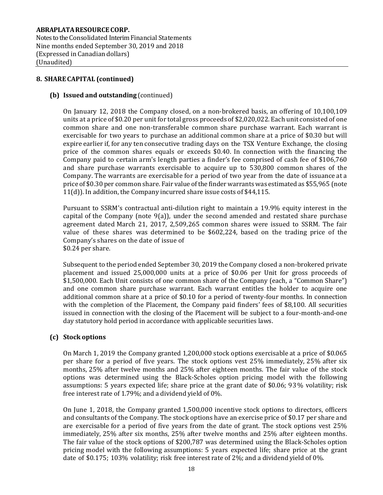Notes to the Consolidated Interim Financial Statements Nine months ended September 30, 2019 and 2018 (Expressed in Canadian dollars) (Unaudited)

#### **8. SHARE CAPITAL (continued)**

#### **(b) Issued and outstanding** (continued)

On January 12, 2018 the Company closed, on a non-brokered basis, an offering of 10,100,109 units at a price of \$0.20 per unit for total gross proceeds of \$2,020,022. Each unit consisted of one common share and one non-transferable common share purchase warrant. Each warrant is exercisable for two years to purchase an additional common share at a price of \$0.30 but will expire earlier if, for any ten consecutive trading days on the TSX Venture Exchange, the closing price of the common shares equals or exceeds \$0.40. In connection with the financing the Company paid to certain arm's length parties a finder's fee comprised of cash fee of \$106,760 and share purchase warrants exercisable to acquire up to 530,800 common shares of the Company. The warrants are exercisable for a period of two year from the date of issuance at a price of \$0.30 per commonshare. Fair value ofthe finder warrants was estimated as \$55,965 (note 11(d)). In addition, the Company incurred share issue costs of \$44,115.

Pursuant to SSRM's contractual anti-dilution right to maintain a 19.9% equity interest in the capital of the Company (note 9(a)), under the second amended and restated share purchase agreement dated March 21, 2017, 2,509,265 common shares were issued to SSRM. The fair value of these shares was determined to be \$602,224, based on the trading price of the Company's shares on the date of issue of \$0.24 per share.

Subsequent to the period ended September 30, 2019 the Company closed a non-brokered private placement and issued 25,000,000 units at a price of \$0.06 per Unit for gross proceeds of \$1,500,000. Each Unit consists of one common share of the Company (each, a "Common Share") and one common share purchase warrant. Each warrant entitles the holder to acquire one additional common share at a price of \$0.10 for a period of twenty-four months. In connection with the completion of the Placement, the Company paid finders' fees of \$8,100. All securities issued in connection with the closing of the Placement will be subject to a four-month-and-one day statutory hold period in accordance with applicable securities laws.

#### **(c) Stock options**

On March 1, 2019 the Company granted 1,200,000 stock options exercisable at a price of \$0.065 per share for a period of five years. The stock options vest 25% immediately, 25% after six months, 25% after twelve months and 25% after eighteen months. The fair value of the stock options was determined using the Black-Scholes option pricing model with the following assumptions: 5 years expected life; share price at the grant date of \$0.06; 93% volatility; risk free interest rate of 1.79%; and a dividend yield of 0%.

On June 1, 2018, the Company granted 1,500,000 incentive stock options to directors, officers and consultants of the Company. The stock options have an exercise price of \$0.17 per share and are exercisable for a period of five years from the date of grant. The stock options vest 25% immediately, 25% after six months, 25% after twelve months and 25% after eighteen months. The fair value of the stock options of \$200,787 was determined using the Black-Scholes option pricing model with the following assumptions: 5 years expected life; share price at the grant date of \$0.175; 103% volatility; risk free interest rate of 2%; and a dividend yield of 0%.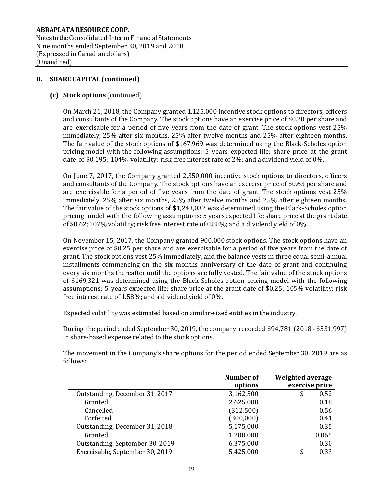Notes to the Consolidated Interim Financial Statements Nine months ended September 30, 2019 and 2018 (Expressed in Canadian dollars) (Unaudited)

## **8. SHARE CAPITAL (continued)**

#### **(c) Stock options** (continued)

On March 21, 2018, the Company granted 1,125,000 incentive stock options to directors, officers and consultants of the Company. The stock options have an exercise price of \$0.20 per share and are exercisable for a period of five years from the date of grant. The stock options vest 25% immediately, 25% after six months, 25% after twelve months and 25% after eighteen months. The fair value of the stock options of \$167,969 was determined using the Black-Scholes option pricing model with the following assumptions: 5 years expected life; share price at the grant date of \$0.195; 104% volatility; risk free interest rate of 2%; and a dividend yield of 0%.

On June 7, 2017, the Company granted 2,350,000 incentive stock options to directors, officers and consultants of the Company. The stock options have an exercise price of \$0.63 per share and are exercisable for a period of five years from the date of grant. The stock options vest 25% immediately, 25% after six months, 25% after twelve months and 25% after eighteen months. The fair value of the stock options of \$1,243,032 was determined using the Black-Scholes option pricing model with the following assumptions: 5 years expected life; share price at the grant date of \$0.62; 107% volatility; risk free interest rate of 0.88%; and a dividend yield of 0%.

On November 15, 2017, the Company granted 900,000 stock options. The stock options have an exercise price of \$0.25 per share and are exercisable for a period of five years from the date of grant. The stock options vest 25% immediately, and the balance vests in three equal semi-annual installments commencing on the six months anniversary of the date of grant and continuing every six months thereafter until the options are fully vested. The fair value of the stock options of \$169,321 was determined using the Black-Scholes option pricing model with the following assumptions: 5 years expected life; share price at the grant date of \$0.25; 105% volatility; risk free interest rate of 1.58%; and a dividend yield of 0%.

Expected volatility was estimated based on similar-sized entities in the industry.

During the period ended September 30, 2019, the company recorded \$94,781 (2018 - \$531,997) in share-based expense related to the stock options.

The movement in the Company's share options for the period ended September 30, 2019 are as follows:

|                                 | <b>Number of</b> | <b>Weighted average</b> |
|---------------------------------|------------------|-------------------------|
|                                 | options          | exercise price          |
| Outstanding, December 31, 2017  | 3,162,500        | 0.52<br>\$              |
| Granted                         | 2,625,000        | 0.18                    |
| Cancelled                       | (312,500)        | 0.56                    |
| Forfeited                       | (300, 000)       | 0.41                    |
| Outstanding, December 31, 2018  | 5,175,000        | 0.35                    |
| Granted                         | 1,200,000        | 0.065                   |
| Outstanding, September 30, 2019 | 6,375,000        | 0.30                    |
| Exercisable, September 30, 2019 | 5,425,000        | 0.33                    |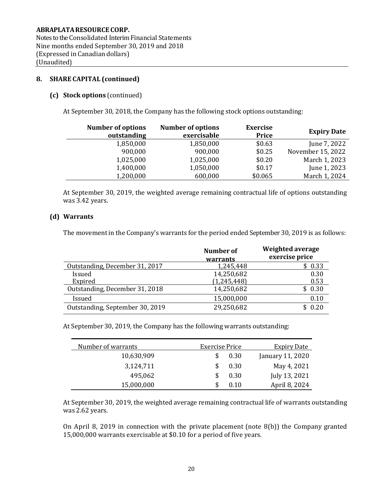Notes to the Consolidated Interim Financial Statements Nine months ended September 30, 2019 and 2018 (Expressed in Canadian dollars) (Unaudited)

## **8. SHARE CAPITAL (continued)**

#### **(c) Stock options** (continued)

At September 30, 2018, the Company has the following stock options outstanding:

| <b>Number of options</b><br>outstanding | <b>Number of options</b><br>exercisable | <b>Exercise</b><br><b>Price</b> | <b>Expiry Date</b> |
|-----------------------------------------|-----------------------------------------|---------------------------------|--------------------|
| 1,850,000                               | 1,850,000                               | \$0.63                          | June 7, 2022       |
| 900,000                                 | 900,000                                 | \$0.25                          | November 15, 2022  |
| 1,025,000                               | 1,025,000                               | \$0.20                          | March 1, 2023      |
| 1,400,000                               | 1,050,000                               | \$0.17                          | June 1, 2023       |
| 1,200,000                               | 600,000                                 | \$0.065                         | March 1, 2024      |

At September 30, 2019, the weighted average remaining contractual life of options outstanding was 3.42 years.

#### **(d) Warrants**

The movement in the Company's warrants for the period ended September 30, 2019 is as follows:

|                                 | Number of<br>warrants | Weighted average<br>exercise price |
|---------------------------------|-----------------------|------------------------------------|
| Outstanding, December 31, 2017  | 1,245,448             | \$0.33                             |
| Issued                          | 14,250,682            | 0.30                               |
| Expired                         | (1,245,448)           | 0.53                               |
| Outstanding, December 31, 2018  | 14,250,682            | \$0.30                             |
| Issued                          | 15,000,000            | 0.10                               |
| Outstanding, September 30, 2019 | 29,250,682            | \$0.20                             |

At September 30, 2019, the Company has the following warrants outstanding:

| Number of warrants | Exercise Price | <b>Expiry Date</b> |
|--------------------|----------------|--------------------|
| 10,630,909         | 0.30           | January 11, 2020   |
| 3,124,711          | 0.30           | May 4, 2021        |
| 495,062            | 0.30           | July 13, 2021      |
| 15,000,000         | 0.10           | April 8, 2024      |

At September 30, 2019, the weighted average remaining contractual life of warrants outstanding was 2.62 years.

On April 8, 2019 in connection with the private placement (note 8(b)) the Company granted 15,000,000 warrants exercisable at \$0.10 for a period of five years.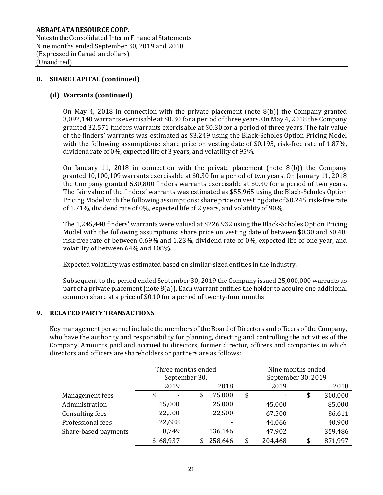Notes to the Consolidated Interim Financial Statements Nine months ended September 30, 2019 and 2018 (Expressed in Canadian dollars) (Unaudited)

## **8. SHARE CAPITAL (continued)**

## **(d) Warrants (continued)**

On May 4, 2018 in connection with the private placement (note  $8(b)$ ) the Company granted 3,092,140 warrants exercisable at \$0.30 for a period of three years. On May 4, 2018 the Company granted 32,571 finders warrants exercisable at \$0.30 for a period of three years. The fair value of the finders' warrants was estimated as \$3,249 using the Black-Scholes Option Pricing Model with the following assumptions: share price on vesting date of \$0.195, risk-free rate of 1.87%, dividend rate of 0%, expected life of 3 years, and volatility of 95%.

On January 11, 2018 in connection with the private placement (note 8 (b)) the Company granted 10,100,109 warrants exercisable at \$0.30 for a period of two years. On January 11, 2018 the Company granted 530,800 finders warrants exercisable at \$0.30 for a period of two years. The fair value of the finders' warrants was estimated as \$55,965 using the Black-Scholes Option Pricing Model with the following assumptions: share price on vesting date of \$0.245, risk-free rate of 1.71%, dividend rate of 0%, expected life of 2 years, and volatility of 90%.

The 1,245,448 finders' warrants were valued at \$226,932 using the Black-Scholes Option Pricing Model with the following assumptions: share price on vesting date of between \$0.30 and \$0.48, risk-free rate of between 0.69% and 1.23%, dividend rate of 0%, expected life of one year, and volatility of between 64% and 108%.

Expected volatility was estimated based on similar-sized entities in the industry.

Subsequent to the period ended September 30, 2019 the Company issued 25,000,000 warrants as part of a private placement (note 8(a)). Each warrant entitles the holder to acquire one additional common share at a price of \$0.10 for a period of twenty-four months

#### **9. RELATED PARTY TRANSACTIONS**

Key management personnel include the members of the Board of Directors and officers of the Company, who have the authority and responsibility for planning, directing and controlling the activities of the Company. Amounts paid and accrued to directors, former director, officers and companies in which directors and officers are shareholders or partners are as follows:

|                        | Three months ended |              |    |         |      | Nine months ended<br>September 30, 2019 |      |         |  |
|------------------------|--------------------|--------------|----|---------|------|-----------------------------------------|------|---------|--|
|                        | September 30,      |              |    |         |      |                                         |      |         |  |
|                        |                    | 2019<br>2018 |    |         | 2019 |                                         | 2018 |         |  |
| Management fees        |                    |              | \$ | 75,000  | \$   | ۰                                       | \$   | 300,000 |  |
| Administration         |                    | 15,000       |    | 25,000  |      | 45,000                                  |      | 85,000  |  |
| <b>Consulting fees</b> |                    | 22,500       |    | 22,500  |      | 67,500                                  |      | 86,611  |  |
| Professional fees      |                    | 22,688       |    |         |      | 44,066                                  |      | 40,900  |  |
| Share-based payments   |                    | 8,749        |    | 136,146 |      | 47,902                                  |      | 359,486 |  |
|                        |                    | \$68,937     |    | 258,646 | \$   | 204,468                                 | \$   | 871,997 |  |